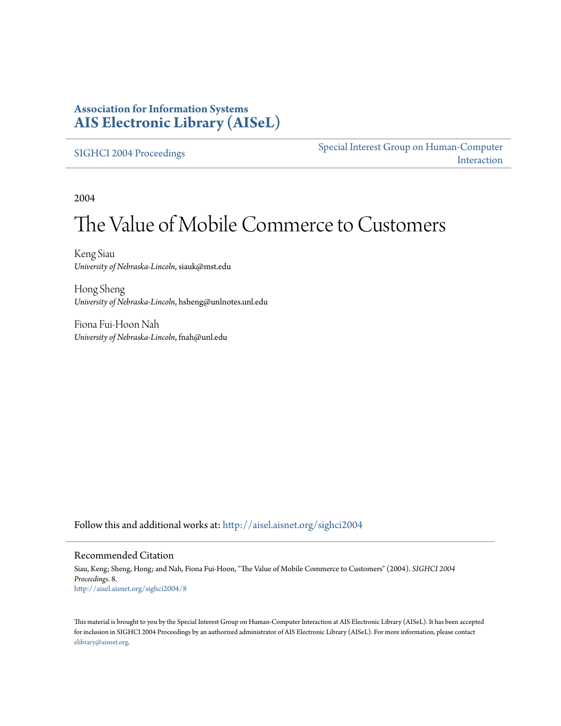### **Association for Information Systems [AIS Electronic Library \(AISeL\)](http://aisel.aisnet.org?utm_source=aisel.aisnet.org%2Fsighci2004%2F8&utm_medium=PDF&utm_campaign=PDFCoverPages)**

[SIGHCI 2004 Proceedings](http://aisel.aisnet.org/sighci2004?utm_source=aisel.aisnet.org%2Fsighci2004%2F8&utm_medium=PDF&utm_campaign=PDFCoverPages)

[Special Interest Group on Human-Computer](http://aisel.aisnet.org/sighci?utm_source=aisel.aisnet.org%2Fsighci2004%2F8&utm_medium=PDF&utm_campaign=PDFCoverPages) [Interaction](http://aisel.aisnet.org/sighci?utm_source=aisel.aisnet.org%2Fsighci2004%2F8&utm_medium=PDF&utm_campaign=PDFCoverPages)

2004

# The Value of Mobile Commerce to Customers

Keng Siau *University of Nebraska-Lincoln*, siauk@mst.edu

Hong Sheng *University of Nebraska-Lincoln*, hsheng@unlnotes.unl.edu

Fiona Fui-Hoon Nah *University of Nebraska-Lincoln*, fnah@unl.edu

Follow this and additional works at: [http://aisel.aisnet.org/sighci2004](http://aisel.aisnet.org/sighci2004?utm_source=aisel.aisnet.org%2Fsighci2004%2F8&utm_medium=PDF&utm_campaign=PDFCoverPages)

#### Recommended Citation

Siau, Keng; Sheng, Hong; and Nah, Fiona Fui-Hoon, "The Value of Mobile Commerce to Customers" (2004). *SIGHCI 2004 Proceedings*. 8. [http://aisel.aisnet.org/sighci2004/8](http://aisel.aisnet.org/sighci2004/8?utm_source=aisel.aisnet.org%2Fsighci2004%2F8&utm_medium=PDF&utm_campaign=PDFCoverPages)

This material is brought to you by the Special Interest Group on Human-Computer Interaction at AIS Electronic Library (AISeL). It has been accepted for inclusion in SIGHCI 2004 Proceedings by an authorized administrator of AIS Electronic Library (AISeL). For more information, please contact [elibrary@aisnet.org.](mailto:elibrary@aisnet.org%3E)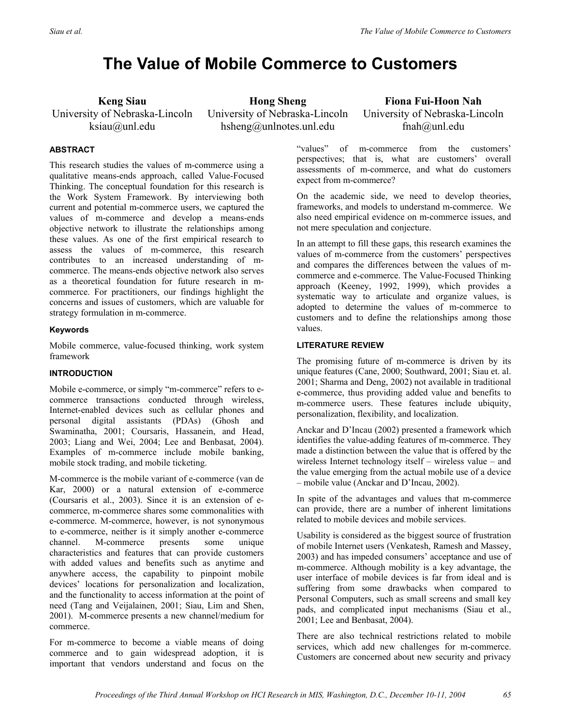## **The Value of Mobile Commerce to Customers**

**Keng Siau**  University of Nebraska-Lincoln ksiau@unl.edu

**Hong Sheng**  University of Nebraska-Lincoln hsheng@unlnotes.unl.edu

**Fiona Fui-Hoon Nah**  University of Nebraska-Lincoln fnah@unl.edu

#### **ABSTRACT**

This research studies the values of m-commerce using a qualitative means-ends approach, called Value-Focused Thinking. The conceptual foundation for this research is the Work System Framework. By interviewing both current and potential m-commerce users, we captured the values of m-commerce and develop a means-ends objective network to illustrate the relationships among these values. As one of the first empirical research to assess the values of m-commerce, this research contributes to an increased understanding of mcommerce. The means-ends objective network also serves as a theoretical foundation for future research in mcommerce. For practitioners, our findings highlight the concerns and issues of customers, which are valuable for strategy formulation in m-commerce.

#### **Keywords**

Mobile commerce, value-focused thinking, work system framework

#### **INTRODUCTION**

Mobile e-commerce, or simply "m-commerce" refers to ecommerce transactions conducted through wireless, Internet-enabled devices such as cellular phones and personal digital assistants (PDAs) (Ghosh and Swaminatha, 2001; Coursaris, Hassanein, and Head, 2003; Liang and Wei, 2004; Lee and Benbasat, 2004). Examples of m-commerce include mobile banking, mobile stock trading, and mobile ticketing.

M-commerce is the mobile variant of e-commerce (van de Kar, 2000) or a natural extension of e-commerce (Coursaris et al., 2003). Since it is an extension of ecommerce, m-commerce shares some commonalities with e-commerce. M-commerce, however, is not synonymous to e-commerce, neither is it simply another e-commerce channel. M-commerce presents some unique characteristics and features that can provide customers with added values and benefits such as anytime and anywhere access, the capability to pinpoint mobile devices' locations for personalization and localization, and the functionality to access information at the point of need (Tang and Veijalainen, 2001; Siau, Lim and Shen, 2001). M-commerce presents a new channel/medium for commerce.

For m-commerce to become a viable means of doing commerce and to gain widespread adoption, it is important that vendors understand and focus on the

"values" of m-commerce from the customers' perspectives; that is, what are customers' overall assessments of m-commerce, and what do customers expect from m-commerce?

On the academic side, we need to develop theories, frameworks, and models to understand m-commerce. We also need empirical evidence on m-commerce issues, and not mere speculation and conjecture.

In an attempt to fill these gaps, this research examines the values of m-commerce from the customers' perspectives and compares the differences between the values of mcommerce and e-commerce. The Value-Focused Thinking approach (Keeney, 1992, 1999), which provides a systematic way to articulate and organize values, is adopted to determine the values of m-commerce to customers and to define the relationships among those values.

#### **LITERATURE REVIEW**

The promising future of m-commerce is driven by its unique features (Cane, 2000; Southward, 2001; Siau et. al. 2001; Sharma and Deng, 2002) not available in traditional e-commerce, thus providing added value and benefits to m-commerce users. These features include ubiquity, personalization, flexibility, and localization.

Anckar and D'Incau (2002) presented a framework which identifies the value-adding features of m-commerce. They made a distinction between the value that is offered by the wireless Internet technology itself – wireless value – and the value emerging from the actual mobile use of a device – mobile value (Anckar and D'Incau, 2002).

In spite of the advantages and values that m-commerce can provide, there are a number of inherent limitations related to mobile devices and mobile services.

Usability is considered as the biggest source of frustration of mobile Internet users (Venkatesh, Ramesh and Massey, 2003) and has impeded consumers' acceptance and use of m-commerce. Although mobility is a key advantage, the user interface of mobile devices is far from ideal and is suffering from some drawbacks when compared to Personal Computers, such as small screens and small key pads, and complicated input mechanisms (Siau et al., 2001; Lee and Benbasat, 2004).

There are also technical restrictions related to mobile services, which add new challenges for m-commerce. Customers are concerned about new security and privacy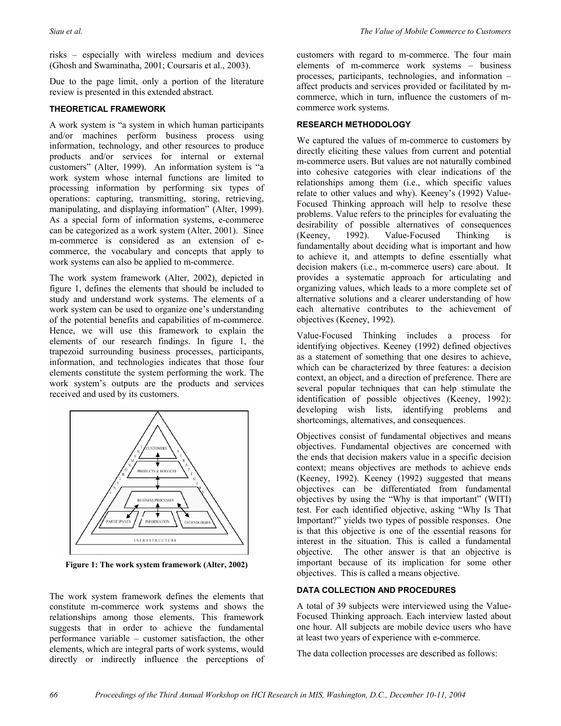risks – especially with wireless medium and devices (Ghosh and Swaminatha, 2001; Coursaris et al., 2003).

Due to the page limit, only a portion of the literature review is presented in this extended abstract.

#### **THEORETICAL FRAMEWORK**

A work system is "a system in which human participants and/or machines perform business process using information, technology, and other resources to produce products and/or services for internal or external customers" (Alter, 1999). An information system is "a work system whose internal functions are limited to processing information by performing six types of operations: capturing, transmitting, storing, retrieving, manipulating, and displaying information" (Alter, 1999). As a special form of information systems, e-commerce can be categorized as a work system (Alter, 2001). Since m-commerce is considered as an extension of ecommerce, the vocabulary and concepts that apply to work systems can also be applied to m-commerce.

The work system framework (Alter, 2002), depicted in figure 1, defines the elements that should be included to study and understand work systems. The elements of a work system can be used to organize one's understanding of the potential benefits and capabilities of m-commerce. Hence, we will use this framework to explain the elements of our research findings. In figure 1, the trapezoid surrounding business processes, participants, information, and technologies indicates that those four elements constitute the system performing the work. The work system's outputs are the products and services received and used by its customers.



**Figure 1: The work system framework (Alter, 2002)** 

The work system framework defines the elements that constitute m-commerce work systems and shows the relationships among those elements. This framework suggests that in order to achieve the fundamental performance variable – customer satisfaction, the other elements, which are integral parts of work systems, would directly or indirectly influence the perceptions of

customers with regard to m-commerce. The four main elements of m-commerce work systems – business processes, participants, technologies, and information – affect products and services provided or facilitated by mcommerce, which in turn, influence the customers of mcommerce work systems.

#### **RESEARCH METHODOLOGY**

We captured the values of m-commerce to customers by directly eliciting these values from current and potential m-commerce users. But values are not naturally combined into cohesive categories with clear indications of the relationships among them (i.e., which specific values relate to other values and why). Keeney's (1992) Value-Focused Thinking approach will help to resolve these problems. Value refers to the principles for evaluating the desirability of possible alternatives of consequences (Keeney, 1992). Value-Focused Thinking is fundamentally about deciding what is important and how to achieve it, and attempts to define essentially what decision makers (i.e., m-commerce users) care about. It provides a systematic approach for articulating and organizing values, which leads to a more complete set of alternative solutions and a clearer understanding of how each alternative contributes to the achievement of objectives (Keeney, 1992).

Value-Focused Thinking includes a process for identifying objectives. Keeney (1992) defined objectives as a statement of something that one desires to achieve, which can be characterized by three features: a decision context, an object, and a direction of preference. There are several popular techniques that can help stimulate the identification of possible objectives (Keeney, 1992): developing wish lists, identifying problems and shortcomings, alternatives, and consequences.

Objectives consist of fundamental objectives and means objectives. Fundamental objectives are concerned with the ends that decision makers value in a specific decision context; means objectives are methods to achieve ends (Keeney, 1992). Keeney (1992) suggested that means objectives can be differentiated from fundamental objectives by using the "Why is that important" (WITI) test. For each identified objective, asking "Why Is That Important?" yields two types of possible responses. One is that this objective is one of the essential reasons for interest in the situation. This is called a fundamental objective. The other answer is that an objective is important because of its implication for some other objectives. This is called a means objective.

#### **DATA COLLECTION AND PROCEDURES**

A total of 39 subjects were interviewed using the Value-Focused Thinking approach. Each interview lasted about one hour. All subjects are mobile device users who have at least two years of experience with e-commerce.

The data collection processes are described as follows: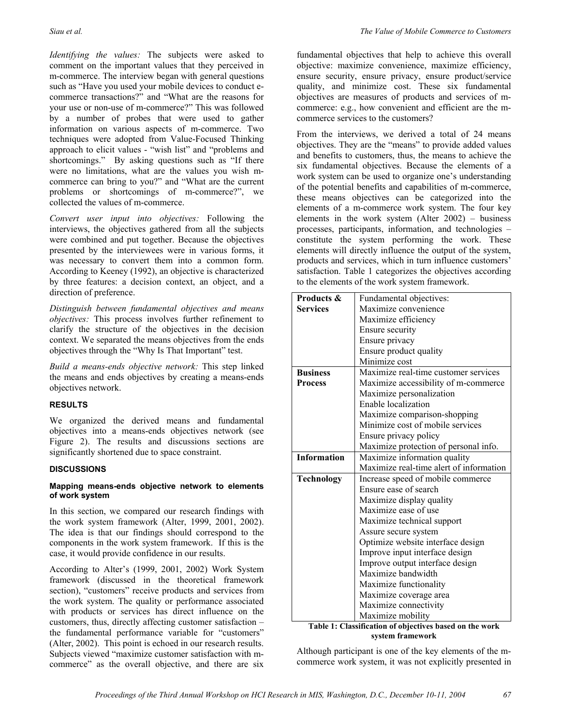*Identifying the values:* The subjects were asked to comment on the important values that they perceived in m-commerce. The interview began with general questions such as "Have you used your mobile devices to conduct ecommerce transactions?" and "What are the reasons for your use or non-use of m-commerce?" This was followed by a number of probes that were used to gather information on various aspects of m-commerce. Two techniques were adopted from Value-Focused Thinking approach to elicit values - "wish list" and "problems and shortcomings." By asking questions such as "If there were no limitations, what are the values you wish mcommerce can bring to you?" and "What are the current problems or shortcomings of m-commerce?", we collected the values of m-commerce.

*Convert user input into objectives:* Following the interviews, the objectives gathered from all the subjects were combined and put together. Because the objectives presented by the interviewees were in various forms, it was necessary to convert them into a common form. According to Keeney (1992), an objective is characterized by three features: a decision context, an object, and a direction of preference.

*Distinguish between fundamental objectives and means objectives:* This process involves further refinement to clarify the structure of the objectives in the decision context. We separated the means objectives from the ends objectives through the "Why Is That Important" test.

*Build a means-ends objective network:* This step linked the means and ends objectives by creating a means-ends objectives network.

#### **RESULTS**

We organized the derived means and fundamental objectives into a means-ends objectives network (see Figure 2). The results and discussions sections are significantly shortened due to space constraint.

#### **DISCUSSIONS**

#### **Mapping means-ends objective network to elements of work system**

In this section, we compared our research findings with the work system framework (Alter, 1999, 2001, 2002). The idea is that our findings should correspond to the components in the work system framework. If this is the case, it would provide confidence in our results.

According to Alter's (1999, 2001, 2002) Work System framework (discussed in the theoretical framework section), "customers" receive products and services from the work system. The quality or performance associated with products or services has direct influence on the customers, thus, directly affecting customer satisfaction – the fundamental performance variable for "customers" (Alter, 2002). This point is echoed in our research results. Subjects viewed "maximize customer satisfaction with mcommerce" as the overall objective, and there are six

fundamental objectives that help to achieve this overall objective: maximize convenience, maximize efficiency, ensure security, ensure privacy, ensure product/service quality, and minimize cost. These six fundamental objectives are measures of products and services of mcommerce: e.g., how convenient and efficient are the mcommerce services to the customers?

From the interviews, we derived a total of 24 means objectives. They are the "means" to provide added values and benefits to customers, thus, the means to achieve the six fundamental objectives. Because the elements of a work system can be used to organize one's understanding of the potential benefits and capabilities of m-commerce, these means objectives can be categorized into the elements of a m-commerce work system. The four key elements in the work system (Alter 2002) – business processes, participants, information, and technologies – constitute the system performing the work. These elements will directly influence the output of the system, products and services, which in turn influence customers' satisfaction. Table 1 categorizes the objectives according to the elements of the work system framework.

| Products &         | Fundamental objectives:                                 |
|--------------------|---------------------------------------------------------|
| <b>Services</b>    | Maximize convenience                                    |
|                    | Maximize efficiency                                     |
|                    | Ensure security                                         |
|                    | Ensure privacy                                          |
|                    | Ensure product quality                                  |
|                    | Minimize cost                                           |
| <b>Business</b>    | Maximize real-time customer services                    |
| <b>Process</b>     | Maximize accessibility of m-commerce                    |
|                    | Maximize personalization                                |
|                    | Enable localization                                     |
|                    | Maximize comparison-shopping                            |
|                    | Minimize cost of mobile services                        |
|                    | Ensure privacy policy                                   |
|                    | Maximize protection of personal info.                   |
| <b>Information</b> | Maximize information quality                            |
|                    | Maximize real-time alert of information                 |
| <b>Technology</b>  | Increase speed of mobile commerce                       |
|                    | Ensure ease of search                                   |
|                    | Maximize display quality                                |
|                    | Maximize ease of use                                    |
|                    | Maximize technical support                              |
|                    | Assure secure system                                    |
|                    | Optimize website interface design                       |
|                    | Improve input interface design                          |
|                    | Improve output interface design                         |
|                    | Maximize bandwidth                                      |
|                    | Maximize functionality                                  |
|                    | Maximize coverage area                                  |
|                    | Maximize connectivity                                   |
|                    | Maximize mobility                                       |
|                    | Table 1: Classification of objectives based on the work |

**Table 1: Classification of objectives based on the work system framework** 

Although participant is one of the key elements of the mcommerce work system, it was not explicitly presented in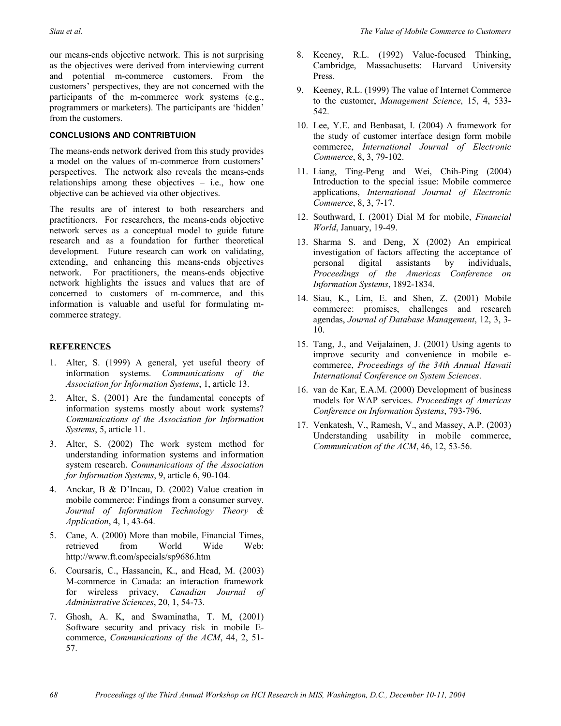our means-ends objective network. This is not surprising as the objectives were derived from interviewing current and potential m-commerce customers. From the customers' perspectives, they are not concerned with the participants of the m-commerce work systems (e.g., programmers or marketers). The participants are 'hidden' from the customers.

#### **CONCLUSIONS AND CONTRIBTUION**

The means-ends network derived from this study provides a model on the values of m-commerce from customers' perspectives. The network also reveals the means-ends relationships among these objectives – i.e., how one objective can be achieved via other objectives.

The results are of interest to both researchers and practitioners. For researchers, the means-ends objective network serves as a conceptual model to guide future research and as a foundation for further theoretical development. Future research can work on validating, extending, and enhancing this means-ends objectives network. For practitioners, the means-ends objective network highlights the issues and values that are of concerned to customers of m-commerce, and this information is valuable and useful for formulating mcommerce strategy.

#### **REFERENCES**

- 1. Alter, S. (1999) A general, yet useful theory of information systems. *Communications of the Association for Information Systems*, 1, article 13.
- 2. Alter, S. (2001) Are the fundamental concepts of information systems mostly about work systems? *Communications of the Association for Information Systems*, 5, article 11.
- 3. Alter, S. (2002) The work system method for understanding information systems and information system research. *Communications of the Association for Information Systems*, 9, article 6, 90-104.
- 4. Anckar, B & D'Incau, D. (2002) Value creation in mobile commerce: Findings from a consumer survey. *Journal of Information Technology Theory & Application*, 4, 1, 43-64.
- 5. Cane, A. (2000) More than mobile, Financial Times, retrieved from World Wide Web: http://www.ft.com/specials/sp9686.htm
- 6. Coursaris, C., Hassanein, K., and Head, M. (2003) M-commerce in Canada: an interaction framework for wireless privacy, *Canadian Journal of Administrative Sciences*, 20, 1, 54-73.
- 7. Ghosh, A. K, and Swaminatha, T. M, (2001) Software security and privacy risk in mobile Ecommerce, *Communications of the ACM*, 44, 2, 51- 57.
- 8. Keeney, R.L. (1992) Value-focused Thinking, Cambridge, Massachusetts: Harvard University Press.
- 9. Keeney, R.L. (1999) The value of Internet Commerce to the customer, *Management Science*, 15, 4, 533- 542.
- 10. Lee, Y.E. and Benbasat, I. (2004) A framework for the study of customer interface design form mobile commerce, *International Journal of Electronic Commerce*, 8, 3, 79-102.
- 11. Liang, Ting-Peng and Wei, Chih-Ping (2004) Introduction to the special issue: Mobile commerce applications, *International Journal of Electronic Commerce*, 8, 3, 7-17.
- 12. Southward, I. (2001) Dial M for mobile, *Financial World*, January, 19-49.
- 13. Sharma S. and Deng, X (2002) An empirical investigation of factors affecting the acceptance of personal digital assistants by individuals, *Proceedings of the Americas Conference on Information Systems*, 1892-1834.
- 14. Siau, K., Lim, E. and Shen, Z. (2001) Mobile commerce: promises, challenges and research agendas, *Journal of Database Management*, 12, 3, 3- 10.
- 15. Tang, J., and Veijalainen, J. (2001) Using agents to improve security and convenience in mobile ecommerce, *Proceedings of the 34th Annual Hawaii International Conference on System Sciences*.
- 16. van de Kar, E.A.M. (2000) Development of business models for WAP services. *Proceedings of Americas Conference on Information Systems*, 793-796.
- 17. Venkatesh, V., Ramesh, V., and Massey, A.P. (2003) Understanding usability in mobile commerce, *Communication of the ACM*, 46, 12, 53-56.